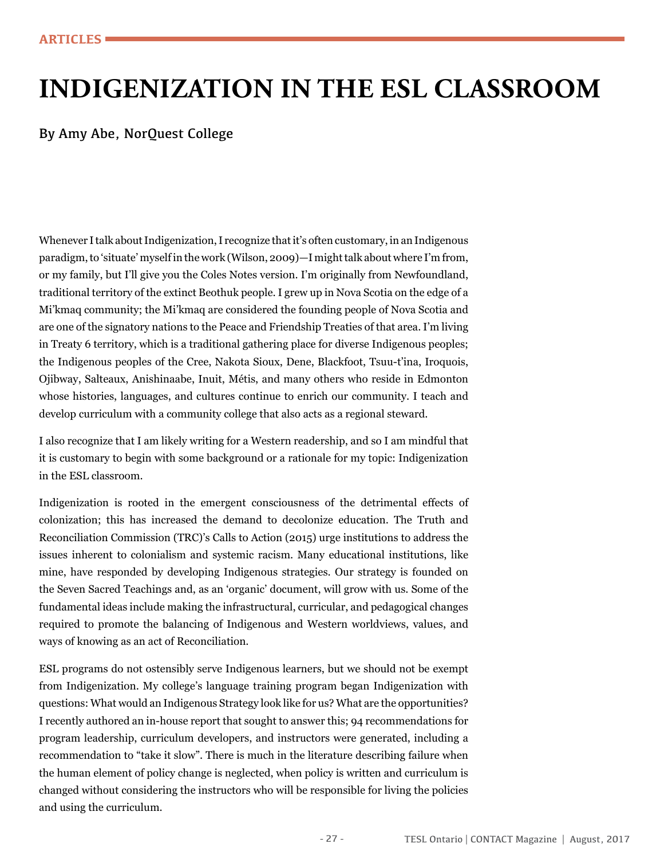# **INDIGENIZATION IN THE ESL CLASSROOM**

By Amy Abe, NorQuest College

Whenever I talk about Indigenization, I recognize that it's often customary, in an Indigenous paradigm, to 'situate' myself in the work (Wilson, 2009)—I might talk about where I'm from, or my family, but I'll give you the Coles Notes version. I'm originally from Newfoundland, traditional territory of the extinct Beothuk people. I grew up in Nova Scotia on the edge of a Mi'kmaq community; the Mi'kmaq are considered the founding people of Nova Scotia and are one of the signatory nations to the Peace and Friendship Treaties of that area. I'm living in Treaty 6 territory, which is a traditional gathering place for diverse Indigenous peoples; the Indigenous peoples of the Cree, Nakota Sioux, Dene, Blackfoot, Tsuu-t'ina, Iroquois, Ojibway, Salteaux, Anishinaabe, Inuit, Métis, and many others who reside in Edmonton whose histories, languages, and cultures continue to enrich our community. I teach and develop curriculum with a community college that also acts as a regional steward.

I also recognize that I am likely writing for a Western readership, and so I am mindful that it is customary to begin with some background or a rationale for my topic: Indigenization in the ESL classroom.

Indigenization is rooted in the emergent consciousness of the detrimental effects of colonization; this has increased the demand to decolonize education. The Truth and Reconciliation Commission (TRC)'s Calls to Action (2015) urge institutions to address the issues inherent to colonialism and systemic racism. Many educational institutions, like mine, have responded by developing Indigenous strategies. Our strategy is founded on the Seven Sacred Teachings and, as an 'organic' document, will grow with us. Some of the fundamental ideas include making the infrastructural, curricular, and pedagogical changes required to promote the balancing of Indigenous and Western worldviews, values, and ways of knowing as an act of Reconciliation.

ESL programs do not ostensibly serve Indigenous learners, but we should not be exempt from Indigenization. My college's language training program began Indigenization with questions: What would an Indigenous Strategy look like for us? What are the opportunities? I recently authored an in-house report that sought to answer this; 94 recommendations for program leadership, curriculum developers, and instructors were generated, including a recommendation to "take it slow". There is much in the literature describing failure when the human element of policy change is neglected, when policy is written and curriculum is changed without considering the instructors who will be responsible for living the policies and using the curriculum.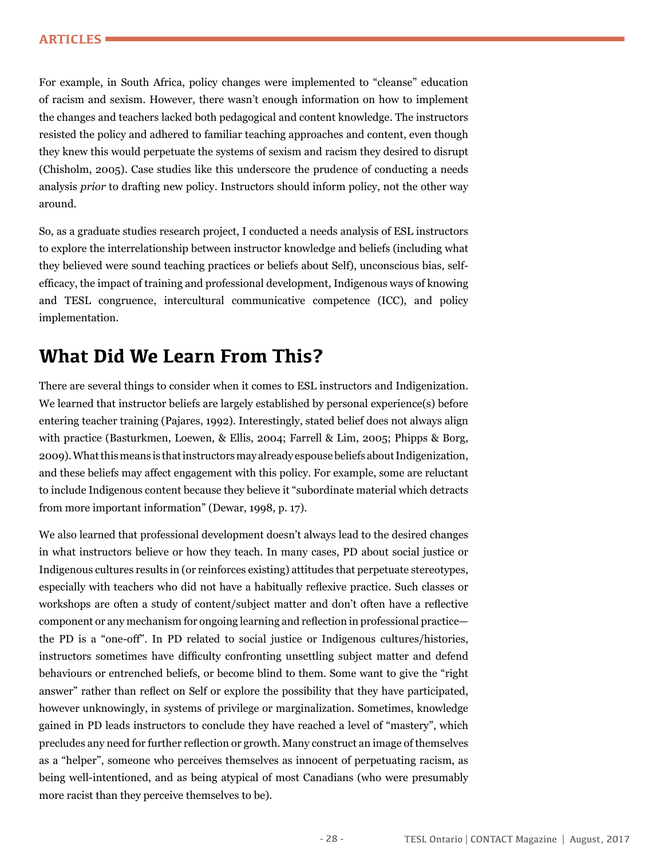For example, in South Africa, policy changes were implemented to "cleanse" education of racism and sexism. However, there wasn't enough information on how to implement the changes and teachers lacked both pedagogical and content knowledge. The instructors resisted the policy and adhered to familiar teaching approaches and content, even though they knew this would perpetuate the systems of sexism and racism they desired to disrupt (Chisholm, 2005). Case studies like this underscore the prudence of conducting a needs analysis *prior* to drafting new policy. Instructors should inform policy, not the other way around.

So, as a graduate studies research project, I conducted a needs analysis of ESL instructors to explore the interrelationship between instructor knowledge and beliefs (including what they believed were sound teaching practices or beliefs about Self), unconscious bias, selfeffcacy, the impact of training and professional development, Indigenous ways of knowing and TESL congruence, intercultural communicative competence (ICC), and policy implementation.

## **What Did We Learn From This?**

There are several things to consider when it comes to ESL instructors and Indigenization. We learned that instructor beliefs are largely established by personal experience(s) before entering teacher training (Pajares, 1992). Interestingly, stated belief does not always align with practice (Basturkmen, Loewen, & Ellis, 2004; Farrell & Lim, 2005; Phipps & Borg, 2009). What this means is that instructors may already espouse beliefs about Indigenization, and these beliefs may affect engagement with this policy. For example, some are reluctant to include Indigenous content because they believe it "subordinate material which detracts from more important information" (Dewar, 1998, p. 17).

We also learned that professional development doesn't always lead to the desired changes in what instructors believe or how they teach. In many cases, PD about social justice or Indigenous cultures results in (or reinforces existing) attitudes that perpetuate stereotypes, especially with teachers who did not have a habitually refexive practice. Such classes or workshops are often a study of content/subject matter and don't often have a refective component or any mechanism for ongoing learning and refection in professional practice the PD is a "one-off". In PD related to social justice or Indigenous cultures/histories, instructors sometimes have diffculty confronting unsettling subject matter and defend behaviours or entrenched beliefs, or become blind to them. Some want to give the "right answer" rather than refect on Self or explore the possibility that they have participated, however unknowingly, in systems of privilege or marginalization. Sometimes, knowledge gained in PD leads instructors to conclude they have reached a level of "mastery", which precludes any need for further refection or growth. Many construct an image of themselves as a "helper", someone who perceives themselves as innocent of perpetuating racism, as being well-intentioned, and as being atypical of most Canadians (who were presumably more racist than they perceive themselves to be).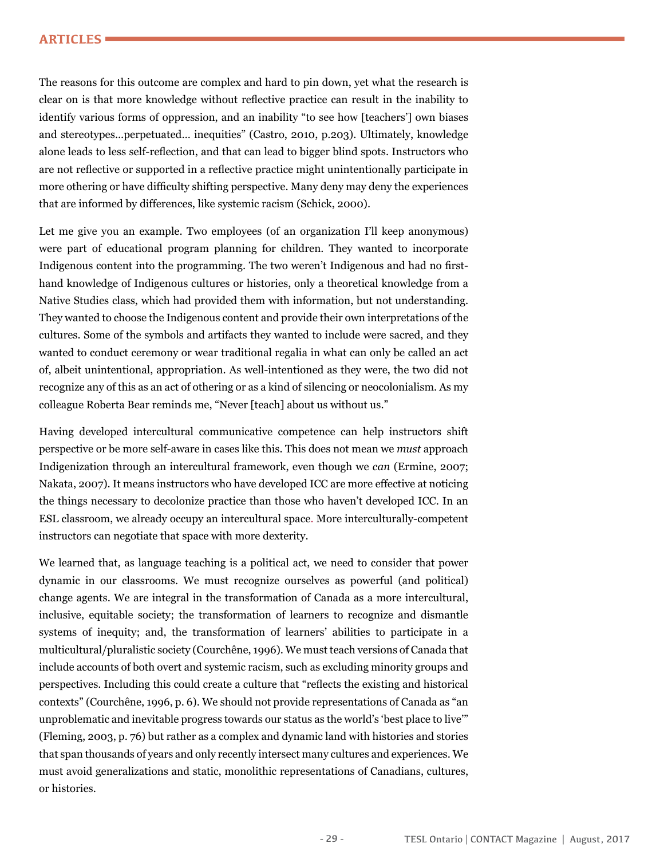The reasons for this outcome are complex and hard to pin down, yet what the research is clear on is that more knowledge without refective practice can result in the inability to identify various forms of oppression, and an inability "to see how [teachers'] own biases and stereotypes...perpetuated… inequities" (Castro, 2010, p.203). Ultimately, knowledge alone leads to less self-refection, and that can lead to bigger blind spots. Instructors who are not refective or supported in a refective practice might unintentionally participate in more othering or have diffculty shifting perspective. Many deny may deny the experiences that are informed by differences, like systemic racism (Schick, 2000).

Let me give you an example. Two employees (of an organization I'll keep anonymous) were part of educational program planning for children. They wanted to incorporate Indigenous content into the programming. The two weren't Indigenous and had no frsthand knowledge of Indigenous cultures or histories, only a theoretical knowledge from a Native Studies class, which had provided them with information, but not understanding. They wanted to choose the Indigenous content and provide their own interpretations of the cultures. Some of the symbols and artifacts they wanted to include were sacred, and they wanted to conduct ceremony or wear traditional regalia in what can only be called an act of, albeit unintentional, appropriation. As well-intentioned as they were, the two did not recognize any of this as an act of othering or as a kind of silencing or neocolonialism. As my colleague Roberta Bear reminds me, "Never [teach] about us without us."

Having developed intercultural communicative competence can help instructors shift perspective or be more self-aware in cases like this. This does not mean we *must* approach Indigenization through an intercultural framework, even though we *can* (Ermine, 2007; Nakata, 2007). It means instructors who have developed ICC are more effective at noticing the things necessary to decolonize practice than those who haven't developed ICC. In an ESL classroom, we already occupy an intercultural space. More interculturally-competent instructors can negotiate that space with more dexterity.

We learned that, as language teaching is a political act, we need to consider that power dynamic in our classrooms. We must recognize ourselves as powerful (and political) change agents. We are integral in the transformation of Canada as a more intercultural, inclusive, equitable society; the transformation of learners to recognize and dismantle systems of inequity; and, the transformation of learners' abilities to participate in a multicultural/pluralistic society (Courchêne, 1996). We must teach versions of Canada that include accounts of both overt and systemic racism, such as excluding minority groups and perspectives. Including this could create a culture that "refects the existing and historical contexts" (Courchêne, 1996, p. 6). We should not provide representations of Canada as "an unproblematic and inevitable progress towards our status as the world's 'best place to live'" (Fleming, 2003, p. 76) but rather as a complex and dynamic land with histories and stories that span thousands of years and only recently intersect many cultures and experiences. We must avoid generalizations and static, monolithic representations of Canadians, cultures, or histories.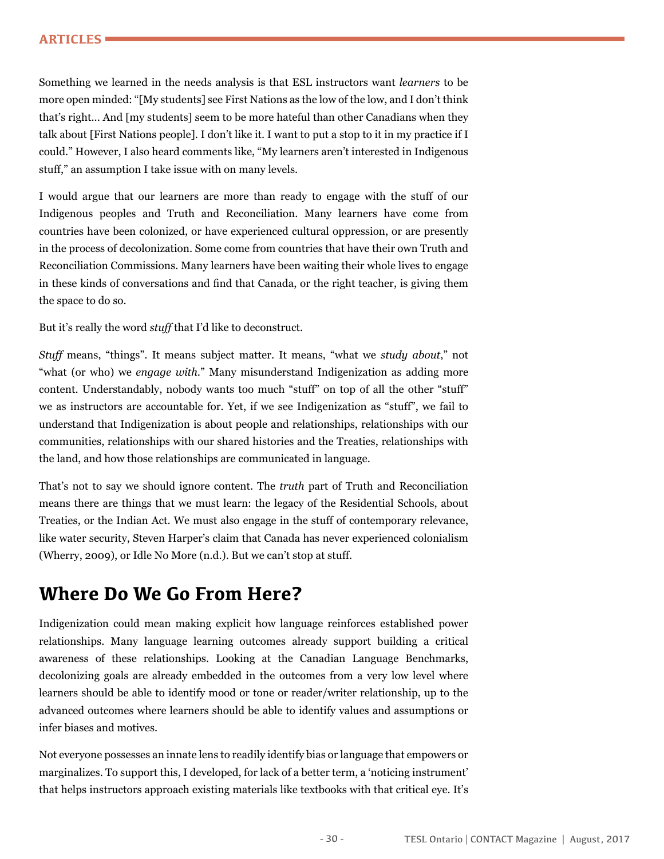#### **ARTICLES**

Something we learned in the needs analysis is that ESL instructors want *learners* to be more open minded: "[My students] see First Nations as the low of the low, and I don't think that's right... And [my students] seem to be more hateful than other Canadians when they talk about [First Nations people]. I don't like it. I want to put a stop to it in my practice if I could." However, I also heard comments like, "My learners aren't interested in Indigenous stuff," an assumption I take issue with on many levels.

I would argue that our learners are more than ready to engage with the stuff of our Indigenous peoples and Truth and Reconciliation. Many learners have come from countries have been colonized, or have experienced cultural oppression, or are presently in the process of decolonization. Some come from countries that have their own Truth and Reconciliation Commissions. Many learners have been waiting their whole lives to engage in these kinds of conversations and fnd that Canada, or the right teacher, is giving them the space to do so.

But it's really the word *stuff* that I'd like to deconstruct.

*Stuff* means, "things". It means subject matter. It means, "what we *study about*," not "what (or who) we *engage with*." Many misunderstand Indigenization as adding more content. Understandably, nobody wants too much "stuff" on top of all the other "stuff" we as instructors are accountable for. Yet, if we see Indigenization as "stuff", we fail to understand that Indigenization is about people and relationships, relationships with our communities, relationships with our shared histories and the Treaties, relationships with the land, and how those relationships are communicated in language.

That's not to say we should ignore content. The *truth* part of Truth and Reconciliation means there are things that we must learn: the legacy of the Residential Schools, about Treaties, or the Indian Act. We must also engage in the stuff of contemporary relevance, like water security, Steven Harper's claim that Canada has never experienced colonialism (Wherry, 2009), or Idle No More (n.d.). But we can't stop at stuff.

#### **Where Do We Go From Here?**

Indigenization could mean making explicit how language reinforces established power relationships. Many language learning outcomes already support building a critical awareness of these relationships. Looking at the Canadian Language Benchmarks, decolonizing goals are already embedded in the outcomes from a very low level where learners should be able to identify mood or tone or reader/writer relationship, up to the advanced outcomes where learners should be able to identify values and assumptions or infer biases and motives.

Not everyone possesses an innate lens to readily identify bias or language that empowers or marginalizes. To support this, I developed, for lack of a better term, a 'noticing instrument' that helps instructors approach existing materials like textbooks with that critical eye. It's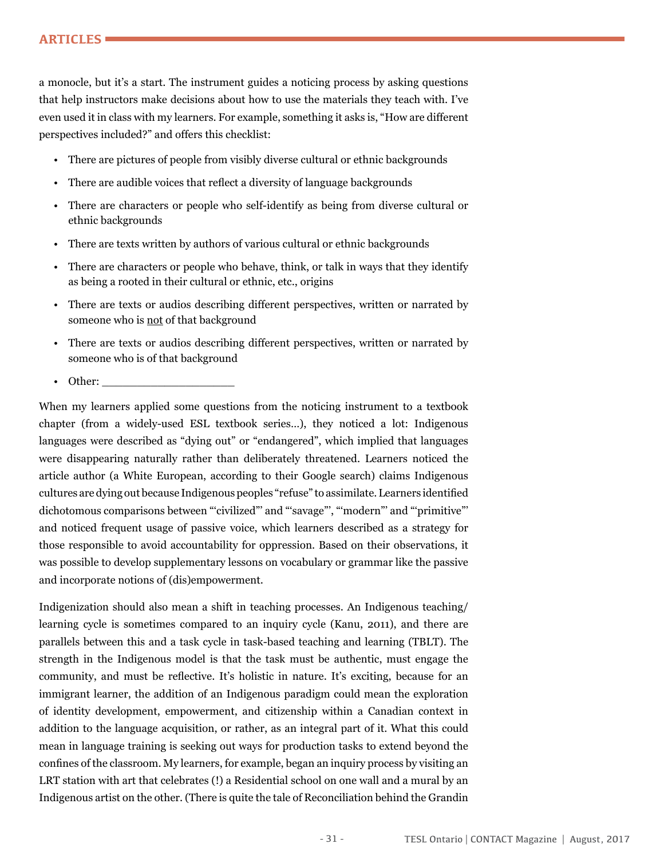a monocle, but it's a start. The instrument guides a noticing process by asking questions that help instructors make decisions about how to use the materials they teach with. I've even used it in class with my learners. For example, something it asks is, "How are different perspectives included?" and offers this checklist:

- There are pictures of people from visibly diverse cultural or ethnic backgrounds
- There are audible voices that reflect a diversity of language backgrounds
- There are characters or people who self-identify as being from diverse cultural or ethnic backgrounds
- There are texts written by authors of various cultural or ethnic backgrounds
- There are characters or people who behave, think, or talk in ways that they identify as being a rooted in their cultural or ethnic, etc., origins
- There are texts or audios describing different perspectives, written or narrated by someone who is not of that background
- There are texts or audios describing different perspectives, written or narrated by someone who is of that background
- Other:

When my learners applied some questions from the noticing instrument to a textbook chapter (from a widely-used ESL textbook series…), they noticed a lot: Indigenous languages were described as "dying out" or "endangered", which implied that languages were disappearing naturally rather than deliberately threatened. Learners noticed the article author (a White European, according to their Google search) claims Indigenous cultures are dying out because Indigenous peoples "refuse" to assimilate. Learners identifed dichotomous comparisons between "'civilized"' and "'savage"', "'modern"' and "'primitive"' and noticed frequent usage of passive voice, which learners described as a strategy for those responsible to avoid accountability for oppression. Based on their observations, it was possible to develop supplementary lessons on vocabulary or grammar like the passive and incorporate notions of (dis)empowerment.

Indigenization should also mean a shift in teaching processes. An Indigenous teaching/ learning cycle is sometimes compared to an inquiry cycle (Kanu, 2011), and there are parallels between this and a task cycle in task-based teaching and learning (TBLT). The strength in the Indigenous model is that the task must be authentic, must engage the community, and must be refective. It's holistic in nature. It's exciting, because for an immigrant learner, the addition of an Indigenous paradigm could mean the exploration of identity development, empowerment, and citizenship within a Canadian context in addition to the language acquisition, or rather, as an integral part of it. What this could mean in language training is seeking out ways for production tasks to extend beyond the confnes of the classroom. My learners, for example, began an inquiry process by visiting an LRT station with art that celebrates (!) a Residential school on one wall and a mural by an Indigenous artist on the other. (There is quite the tale of Reconciliation behind the Grandin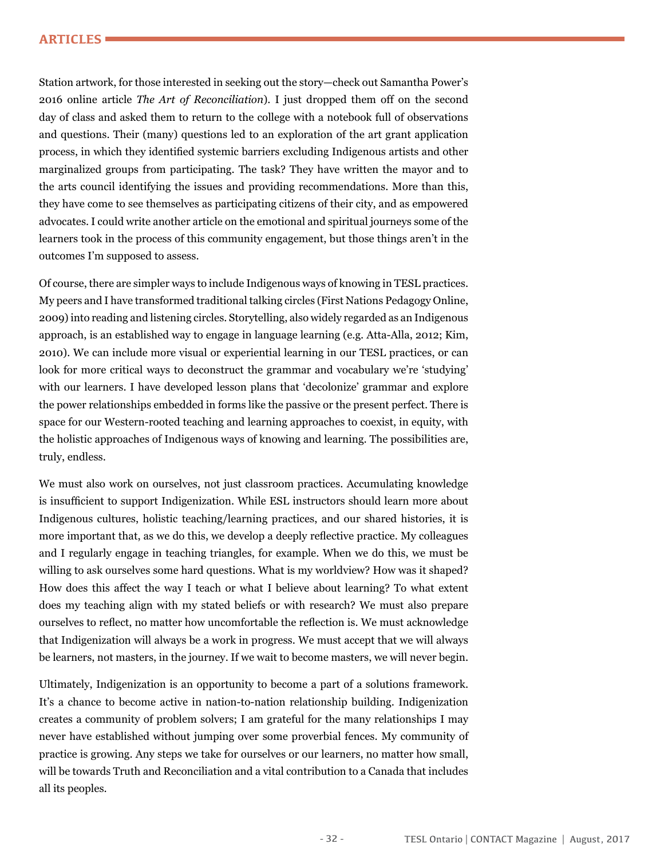#### **ARTICLES**

Station artwork, for those interested in seeking out the story—check out Samantha Power's 2016 online article *The Art of Reconciliation*). I just dropped them off on the second day of class and asked them to return to the college with a notebook full of observations and questions. Their (many) questions led to an exploration of the art grant application process, in which they identifed systemic barriers excluding Indigenous artists and other marginalized groups from participating. The task? They have written the mayor and to the arts council identifying the issues and providing recommendations. More than this, they have come to see themselves as participating citizens of their city, and as empowered advocates. I could write another article on the emotional and spiritual journeys some of the learners took in the process of this community engagement, but those things aren't in the outcomes I'm supposed to assess.

Of course, there are simpler ways to include Indigenous ways of knowing in TESL practices. My peers and I have transformed traditional talking circles (First Nations Pedagogy Online, 2009) into reading and listening circles. Storytelling, also widely regarded as an Indigenous approach, is an established way to engage in language learning (e.g. Atta-Alla, 2012; Kim, 2010). We can include more visual or experiential learning in our TESL practices, or can look for more critical ways to deconstruct the grammar and vocabulary we're 'studying' with our learners. I have developed lesson plans that 'decolonize' grammar and explore the power relationships embedded in forms like the passive or the present perfect. There is space for our Western-rooted teaching and learning approaches to coexist, in equity, with the holistic approaches of Indigenous ways of knowing and learning. The possibilities are, truly, endless.

We must also work on ourselves, not just classroom practices. Accumulating knowledge is insuffcient to support Indigenization. While ESL instructors should learn more about Indigenous cultures, holistic teaching/learning practices, and our shared histories, it is more important that, as we do this, we develop a deeply refective practice. My colleagues and I regularly engage in teaching triangles, for example. When we do this, we must be willing to ask ourselves some hard questions. What is my worldview? How was it shaped? How does this affect the way I teach or what I believe about learning? To what extent does my teaching align with my stated beliefs or with research? We must also prepare ourselves to refect, no matter how uncomfortable the refection is. We must acknowledge that Indigenization will always be a work in progress. We must accept that we will always be learners, not masters, in the journey. If we wait to become masters, we will never begin.

Ultimately, Indigenization is an opportunity to become a part of a solutions framework. It's a chance to become active in nation-to-nation relationship building. Indigenization creates a community of problem solvers; I am grateful for the many relationships I may never have established without jumping over some proverbial fences. My community of practice is growing. Any steps we take for ourselves or our learners, no matter how small, will be towards Truth and Reconciliation and a vital contribution to a Canada that includes all its peoples.